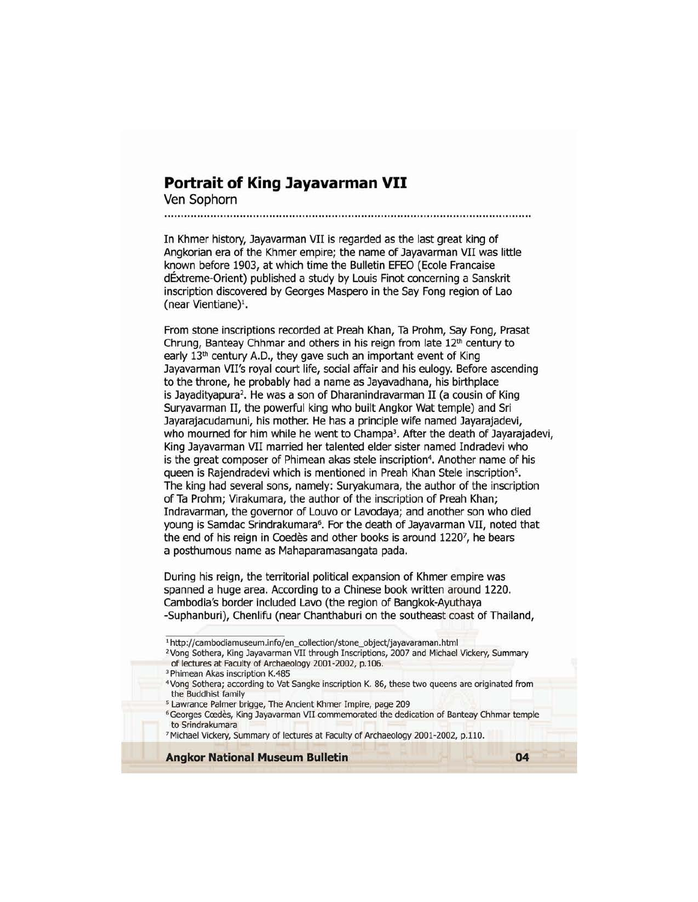## **Portrait of King Jayavarman VII**

Ven Sophorn

In Khmer history, Jayavarman VII is regarded as the last great king of Angkorian era of the Khmer empire; the name of Jayavarman VII was little known before 1903, at which time the Bulletin EFEO (Ecole Francaise dExtreme-Orient) published a study by Louis Finot concerning a Sanskrit inscription discovered by Georges Maspero in the Say Fong region of Lao (near Vientiane)<sup>1</sup>.

From stone inscriptions recorded at Preah Khan, Ta Prohm, Say Fong, Prasat Chrung, Banteay Chhmar and others in his reign from late  $12<sup>th</sup>$  century to early 13<sup>th</sup> century A.D., they gave such an important event of King Jayavarman VII's royal court life, social affair and his eulogy. Before ascending to the throne, he probably had a name as Jayavadhana, his birthplace is Jayadityapura<sup>2</sup>. He was a son of Dharanindravarman II (a cousin of King Suryavarman II, the powerful king who built Angkor Wat temple) and Sri Jayarajacudamuni, his mother. He has a principle wife named Jayarajadevi, who mourned for him while he went to Champa<sup>3</sup>. After the death of Jayarajadevi, King Jayavarman VII married her talented elder sister named Indradevi who is the great composer of Phimean akas stele inscription<sup>4</sup>. Another name of his queen is Rajendradevi which is mentioned in Preah Khan Stele inscription5• The king had several sons, namely: Suryakumara, the author of the inscription of Ta Prohm; Virakumara, the author of the inscription of Preah Khan; Indravarman, the governor of Louvo or Lavodaya; and another son who died young is Samdac Srindrakumara<sup>6</sup>. For the death of Jayavarman VII, noted that the end of his reign in Coedes and other books is around 1220<sup>7</sup>, he bears a posthumous name as Mahaparamasangata pada.

During his reign, the territorial political expansion of Khmer empire was spanned a huge area. According to a Chinese book written around 1220. cambodia's border included Lavo (the region of Bangkok-Ayuthaya -Suphanburi), Chenlifu (near Chanthaburi on the southeast coast of Thailand,

- <sup>1</sup> http://cambodiamuseum.info/en\_collection/stone\_object/jayavaraman.html
- <sup>2</sup> Vong Sothera, King Jayavarman VII through Inscriptions, 2007 and Michael Vickery, Summary of lectures at Faculty of Archaeology 2001-2002, p.106.

- Vong Sothera; according to Vat Sangke inscription K. 86, these two queens are originated from the Buddhist family
- 5 Lawrance Palmer brigge, The Ancient Khmer Impire, page 209
- <sup>6</sup> Georges Cœdès, King Jayavarman VII commemorated the dedication of Banteay Chhmar temple to Srindrakumara
- <sup>7</sup> Michael Vickery, Summary of lectures at Faculty of Archaeology 2001-2002, p.110.

**Angkor National Museum Bulletin 04** 

<sup>&</sup>lt;sup>3</sup> Phimean Akas inscription K.485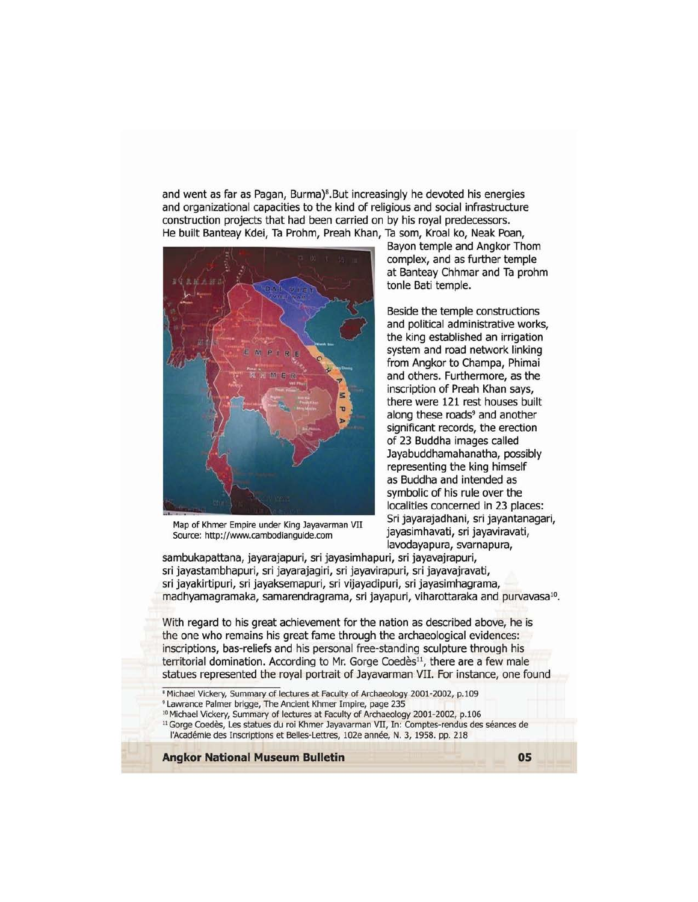and went as far as Pagan, Burma)<sup>8</sup>.But increasingly he devoted his energies and organizational capacities to the kind of religious and social infrastructure construction projects that had been carried on by his royal predecessors. He built Banteay Kdei, Ta Prohm, Preah Khan, Ta som, Kroal ko, Neak Poan,



Map of Khmer Empire under King Jayavarman VII Source: http://www.cambodianguide.com

Bayon temple and Angkor Thom complex, and as further temple at Banteay Chhmar and Ta prohm tonle Bati temple.

Beside the temple constructions and political administrative works, the king established an irrigation system and road network linking from Angkor to Champa, Phimai and others. Furthermore, as the inscription of Preah Khan says, there were 121 rest houses built along these roads<sup>9</sup> and another significant records, the erection of 23 Buddha images called Jayabuddhamahanatha, possibly representing the king himself as Buddha and intended as symbolic of his rule over the localities concerned in 23 places: Sri jayarajadhani, sri jayantanagari, jayasimhavati, sri jayaviravati, lavodayapura, svarnapura,

sambukapattana, jayarajapuri, sri jayasimhapuri, sri jayavajrapuri, sri jayastambhapuri, sri jayarajagiri, sri jayavirapuri, sri jayavajravati, sri jayakirtipuri, sri jayaksemapuri, sri vijayadipuri, sri jayasimhagrama, madhyamagramaka, samarendragrama, sri jayapuri, viharottaraka and purvavasa<sup>10</sup>.

With regard to his great achievement for the nation as described above, he is the one who remains his great fame through the archaeological evidences: inscriptions, bas-reliefs and his personal free-standing sculpture through his territorial domination. According to Mr. Gorge Coedès<sup>11</sup>, there are a few male statues represented the royal portrait of Jayavarman VII. For instance, one found

• Michael Vickery, Summary of lectures at Faculty of Archaeology 2001-2002, p.109

- <sup>9</sup> lawrance Palmer brigge, The Ancient Khmer Impire, page 235
- <sup>10</sup> Michael Vickery, Summary of lectures at Faculty of Archaeology 2001-2002, p.106

<sup>11</sup> Gorge Coedès, Les statues du roi Khmer Jayavarman VII, In: Comptes-rendus des séances de l'Académie des Inscriptions et Belles-Lettres, 102e année, N. 3, 1958. pp. 218

**Angkor National Museum Bulletin OS**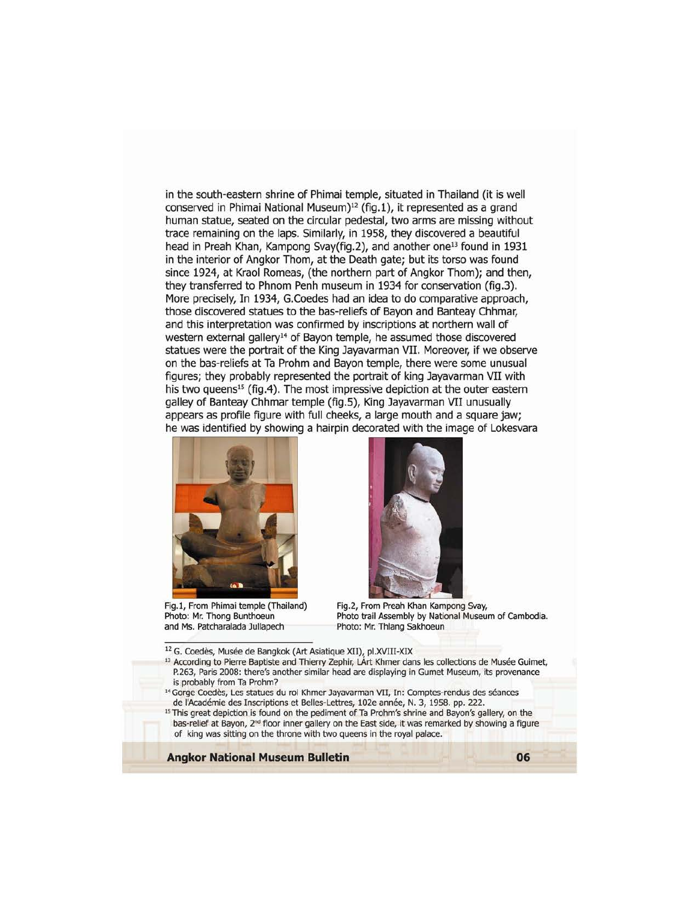in the south-eastern shrine of Phimai temple, situated in Thailand (it is well conserved in Phimai National Museum)<sup>12</sup> (fig.1), it represented as a grand human statue, seated on the circular pedestal, two arms are missing without trace remaining on the laps. Similarly, in 1958, they discovered a beautiful head in Preah Khan, Kampong Svay(fig.2), and another one<sup>13</sup> found in 1931 in the interior of Angkor Thom, at the Death gate; but its torso was found since 1924, at Kraol Romeas, (the northern part of Angkor Thom); and then, they transferred to Phnom Penh museum in 1934 for conservation (fig.3). More precisely, In 1934, G.Coedes had an idea to do comparative approach, those discovered statues to the bas-reliefs of Bayon and Banteay Chhmar, and this interpretation was confirmed by inscriptions at northern wall of western external gallery<sup>14</sup> of Bayon temple, he assumed those discovered statues were the portrait of the King Jayavarman VII. Moreover, if we observe on the bas-reliefs at Ta Prohm and Bayon temple, there were some unusual figures; they probably represented the portrait of king Jayavarman VII with his two queens<sup>15</sup> (fig.4). The most impressive depiction at the outer eastern galley of Banteay Chhmar temple (fig.S), King Jayavarman VII unusually appears as profile figure with full cheeks, a large mouth and a square jaw; he was identified by showing a hairpin decorated with the image of Lokesvara



Fig.l, From Phimai temple (Thailand) Photo: Mr. Thong Bunthoeun and Ms. Patcharalada Jullapech



Fig.2, From Preah Khan Kampong Svay, Photo trail Assembly by National Museum of Cambodia. Photo: Mr. Thlang 5akhoeun

- <sup>12</sup> G. Coedès, Musée de Bangkok (Art Asiatique XII), pl.XVIII-XIX
- <sup>13</sup> According to Pierre Baptiste and Thierry Zephir, LArt Khmer dans les collections de Musée Guimet, P.263, Paris 2008: there's another similar head are displaying in Gumet Museum, its provenance is probably from Ta Prohm?
- <sup>14</sup> Gorge Coedès, Les statues du roi Khmer Jayavarman VII, In: Comptes-rendus des séances de l'Académie des Inscriptions et Belles-Lettres, 102e année, N. 3, 1958. pp. 222.
- <sup>15</sup> This great depiction is found on the pediment of Ta Prohm's shrine and Bayon's gallery, on the bas-relief at Bayon, 2<sup>nd</sup> floor inner gallery on the East side, it was remarked by showing a figure of king was sitting on the throne with two queens in the royal palace.

**Angkor National Museum Bulletin 06**